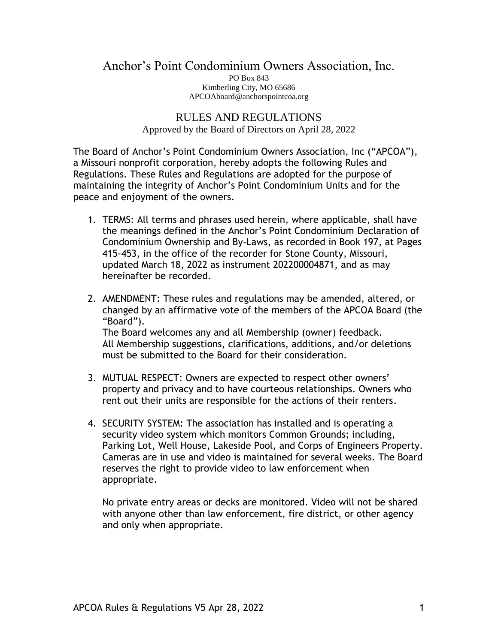## Anchor's Point Condominium Owners Association, Inc. PO Box 843 Kimberling City, MO 65686 APCOAboard@anchorspointcoa.org

## RULES AND REGULATIONS Approved by the Board of Directors on April 28, 2022

The Board of Anchor's Point Condominium Owners Association, Inc ("APCOA"), a Missouri nonprofit corporation, hereby adopts the following Rules and Regulations. These Rules and Regulations are adopted for the purpose of maintaining the integrity of Anchor's Point Condominium Units and for the peace and enjoyment of the owners.

- 1. TERMS: All terms and phrases used herein, where applicable, shall have the meanings defined in the Anchor's Point Condominium Declaration of Condominium Ownership and By-Laws, as recorded in Book 197, at Pages 415-453, in the office of the recorder for Stone County, Missouri, updated March 18, 2022 as instrument 202200004871, and as may hereinafter be recorded.
- 2. AMENDMENT: These rules and regulations may be amended, altered, or changed by an affirmative vote of the members of the APCOA Board (the "Board"). The Board welcomes any and all Membership (owner) feedback. All Membership suggestions, clarifications, additions, and/or deletions must be submitted to the Board for their consideration.
- 3. MUTUAL RESPECT: Owners are expected to respect other owners' property and privacy and to have courteous relationships. Owners who rent out their units are responsible for the actions of their renters.
- 4. SECURITY SYSTEM: The association has installed and is operating a security video system which monitors Common Grounds; including, Parking Lot, Well House, Lakeside Pool, and Corps of Engineers Property. Cameras are in use and video is maintained for several weeks. The Board reserves the right to provide video to law enforcement when appropriate.

No private entry areas or decks are monitored. Video will not be shared with anyone other than law enforcement, fire district, or other agency and only when appropriate.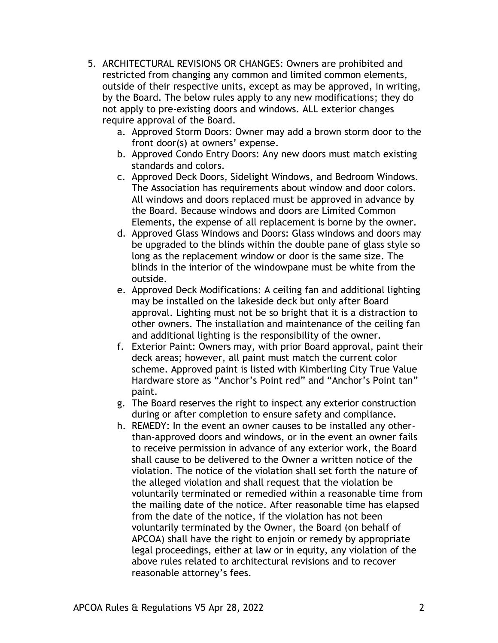- 5. ARCHITECTURAL REVISIONS OR CHANGES: Owners are prohibited and restricted from changing any common and limited common elements, outside of their respective units, except as may be approved, in writing, by the Board. The below rules apply to any new modifications; they do not apply to pre-existing doors and windows. ALL exterior changes require approval of the Board.
	- a. Approved Storm Doors: Owner may add a brown storm door to the front door(s) at owners' expense.
	- b. Approved Condo Entry Doors: Any new doors must match existing standards and colors.
	- c. Approved Deck Doors, Sidelight Windows, and Bedroom Windows. The Association has requirements about window and door colors. All windows and doors replaced must be approved in advance by the Board. Because windows and doors are Limited Common Elements, the expense of all replacement is borne by the owner.
	- d. Approved Glass Windows and Doors: Glass windows and doors may be upgraded to the blinds within the double pane of glass style so long as the replacement window or door is the same size. The blinds in the interior of the windowpane must be white from the outside.
	- e. Approved Deck Modifications: A ceiling fan and additional lighting may be installed on the lakeside deck but only after Board approval. Lighting must not be so bright that it is a distraction to other owners. The installation and maintenance of the ceiling fan and additional lighting is the responsibility of the owner.
	- f. Exterior Paint: Owners may, with prior Board approval, paint their deck areas; however, all paint must match the current color scheme. Approved paint is listed with Kimberling City True Value Hardware store as "Anchor's Point red" and "Anchor's Point tan" paint.
	- g. The Board reserves the right to inspect any exterior construction during or after completion to ensure safety and compliance.
	- h. REMEDY: In the event an owner causes to be installed any otherthan-approved doors and windows, or in the event an owner fails to receive permission in advance of any exterior work, the Board shall cause to be delivered to the Owner a written notice of the violation. The notice of the violation shall set forth the nature of the alleged violation and shall request that the violation be voluntarily terminated or remedied within a reasonable time from the mailing date of the notice. After reasonable time has elapsed from the date of the notice, if the violation has not been voluntarily terminated by the Owner, the Board (on behalf of APCOA) shall have the right to enjoin or remedy by appropriate legal proceedings, either at law or in equity, any violation of the above rules related to architectural revisions and to recover reasonable attorney's fees.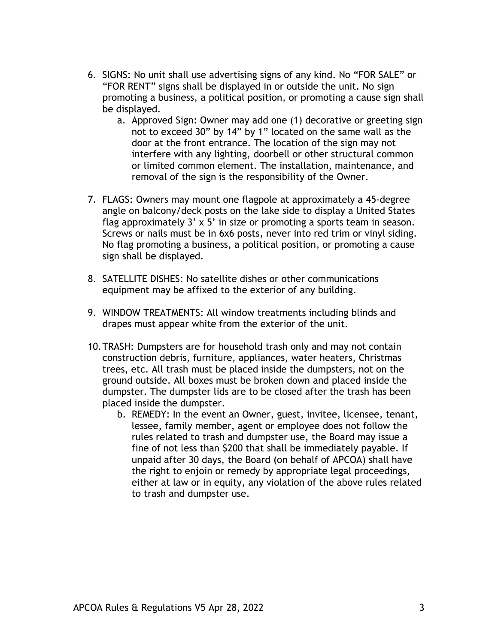- 6. SIGNS: No unit shall use advertising signs of any kind. No "FOR SALE" or "FOR RENT" signs shall be displayed in or outside the unit. No sign promoting a business, a political position, or promoting a cause sign shall be displayed.
	- a. Approved Sign: Owner may add one (1) decorative or greeting sign not to exceed 30" by 14" by 1" located on the same wall as the door at the front entrance. The location of the sign may not interfere with any lighting, doorbell or other structural common or limited common element. The installation, maintenance, and removal of the sign is the responsibility of the Owner.
- 7. FLAGS: Owners may mount one flagpole at approximately a 45-degree angle on balcony/deck posts on the lake side to display a United States flag approximately 3' x 5' in size or promoting a sports team in season. Screws or nails must be in 6x6 posts, never into red trim or vinyl siding. No flag promoting a business, a political position, or promoting a cause sign shall be displayed.
- 8. SATELLITE DISHES: No satellite dishes or other communications equipment may be affixed to the exterior of any building.
- 9. WINDOW TREATMENTS: All window treatments including blinds and drapes must appear white from the exterior of the unit.
- 10.TRASH: Dumpsters are for household trash only and may not contain construction debris, furniture, appliances, water heaters, Christmas trees, etc. All trash must be placed inside the dumpsters, not on the ground outside. All boxes must be broken down and placed inside the dumpster. The dumpster lids are to be closed after the trash has been placed inside the dumpster.
	- b. REMEDY: In the event an Owner, guest, invitee, licensee, tenant, lessee, family member, agent or employee does not follow the rules related to trash and dumpster use, the Board may issue a fine of not less than \$200 that shall be immediately payable. If unpaid after 30 days, the Board (on behalf of APCOA) shall have the right to enjoin or remedy by appropriate legal proceedings, either at law or in equity, any violation of the above rules related to trash and dumpster use.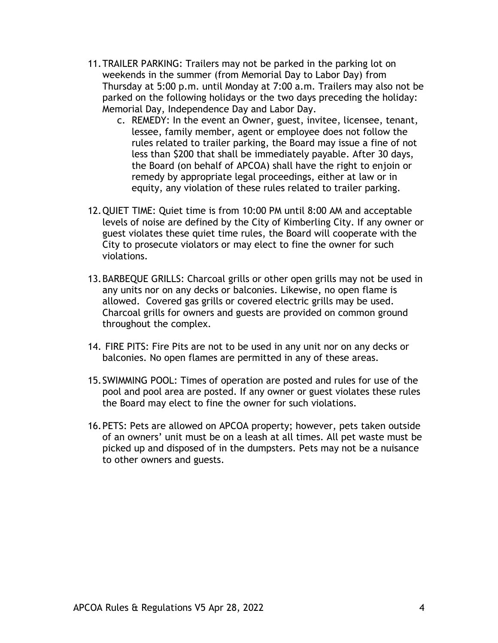- 11.TRAILER PARKING: Trailers may not be parked in the parking lot on weekends in the summer (from Memorial Day to Labor Day) from Thursday at 5:00 p.m. until Monday at 7:00 a.m. Trailers may also not be parked on the following holidays or the two days preceding the holiday: Memorial Day, Independence Day and Labor Day.
	- c. REMEDY: In the event an Owner, guest, invitee, licensee, tenant, lessee, family member, agent or employee does not follow the rules related to trailer parking, the Board may issue a fine of not less than \$200 that shall be immediately payable. After 30 days, the Board (on behalf of APCOA) shall have the right to enjoin or remedy by appropriate legal proceedings, either at law or in equity, any violation of these rules related to trailer parking.
- 12.QUIET TIME: Quiet time is from 10:00 PM until 8:00 AM and acceptable levels of noise are defined by the City of Kimberling City. If any owner or guest violates these quiet time rules, the Board will cooperate with the City to prosecute violators or may elect to fine the owner for such violations.
- 13.BARBEQUE GRILLS: Charcoal grills or other open grills may not be used in any units nor on any decks or balconies. Likewise, no open flame is allowed. Covered gas grills or covered electric grills may be used. Charcoal grills for owners and guests are provided on common ground throughout the complex.
- 14. FIRE PITS: Fire Pits are not to be used in any unit nor on any decks or balconies. No open flames are permitted in any of these areas.
- 15.SWIMMING POOL: Times of operation are posted and rules for use of the pool and pool area are posted. If any owner or guest violates these rules the Board may elect to fine the owner for such violations.
- 16.PETS: Pets are allowed on APCOA property; however, pets taken outside of an owners' unit must be on a leash at all times. All pet waste must be picked up and disposed of in the dumpsters. Pets may not be a nuisance to other owners and guests.